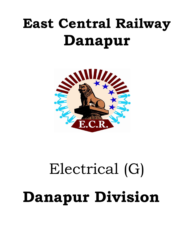# **East Central Railway Danapur**



# Electrical (G) **Danapur Division**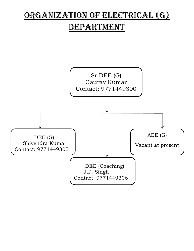# ORGANIZATION OF ELECTRICAL (G)

## DEPARTMENT

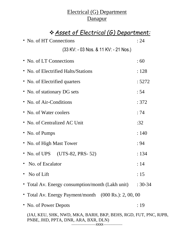## Electrical (G) Department Danapur

| * Asset of Electrical (G) Department: |
|---------------------------------------|
|---------------------------------------|

| • No. of HT Connections                                         | :24   |  |  |
|-----------------------------------------------------------------|-------|--|--|
| (33 KV: - 03 Nos. & 11 KV: - 21 Nos.)                           |       |  |  |
| • No. of LT Connections                                         | : 60  |  |  |
| • No. of Electrified Halts/Stations                             | : 128 |  |  |
| • No. of Electrified quarters                                   | :5272 |  |  |
| • No. of stationary DG sets                                     | : 54  |  |  |
| • No. of Air-Conditions                                         | :372  |  |  |
| • No. of Water coolers                                          | : 74  |  |  |
| • No. of Centralized AC Unit                                    | :32   |  |  |
| • No. of Pumps                                                  | : 140 |  |  |
| • No. of High Mast Tower                                        | : 94  |  |  |
| • No. of UPS (UTS-82, PRS-52)                                   | : 134 |  |  |
| • No. of Escalator                                              | : 14  |  |  |
| • No of Lift                                                    | :15   |  |  |
| • Total Av. Energy consumption/month (Lakh unit) : 30-34        |       |  |  |
| • Total Av. Energy Payment/month (000 Rs.): 2, 00, 00           |       |  |  |
| • No. of Power Depots                                           | :19   |  |  |
| (JAJ, KEU, SHK, NWD, MKA, BARH, BKP, BEHS, RGD, FUT, PNC, RJPB, |       |  |  |

PNBE, JHD, PPTA, DNR, ARA, BXR, DLN) -----------------------XXXX------------------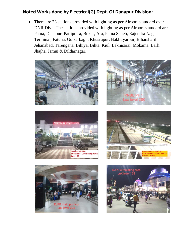#### **Noted Works done by Electrical(G) Dept. Of Danapur Division:**

• There are 23 stations provided with lighting as per Airport statndard over DNR Divn. The stations provided with lighting as per Airport statndard are Patna, Danapur, Patliputra, Buxar, Ara, Patna Saheb, Rajendra Nagar Terminal, Fatuha, Gulzarbagh, Khusrupur, Bakhtiyarpur, Biharsharif, Jehanabad, Tarengana, Bihiya, Bihta, Kiul, Lakhisarai, Mokama, Barh, Jhajha, Jamui & Dildarnagar.











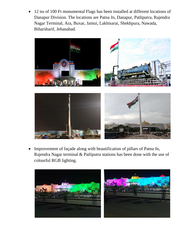• 12 no of 100 Ft monumental Flags has been installed at different locations of Danapur Division. The locations are Patna Jn, Danapur, Patliputra, Rajendra Nagar Terminal, Ara, Buxar, Jamui, Lakhisarai, Shekhpura, Nawada, Biharsharif, Jehanabad.



• Improvement of façade along with beautification of pillars of Patna Jn, Rajendra Nagar terminal & Patliputra stations has been done with the use of colourful RGB lighting.

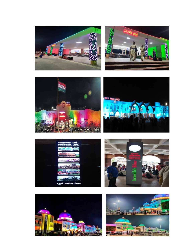